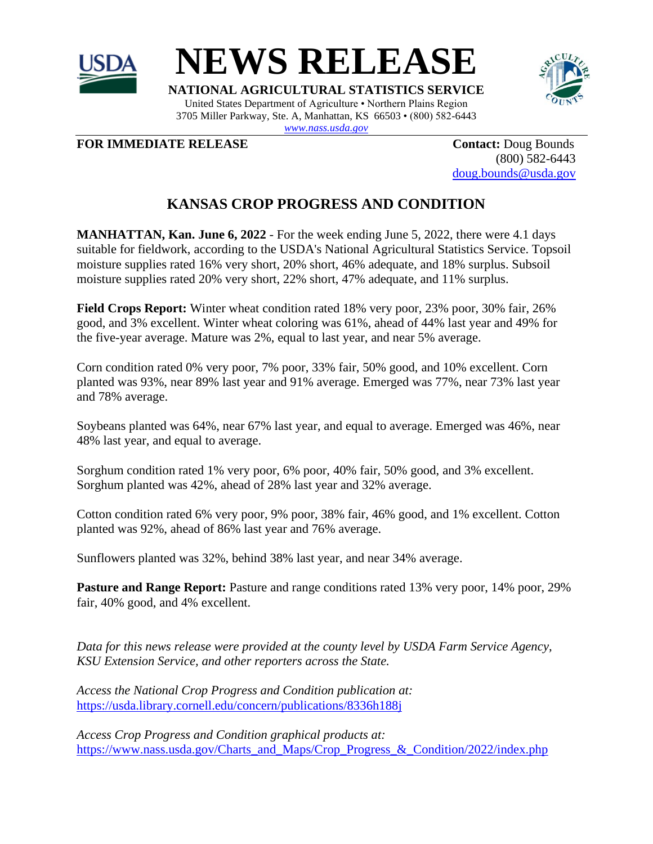



**NATIONAL AGRICULTURAL STATISTICS SERVICE** United States Department of Agriculture • Northern Plains Region 3705 Miller Parkway, Ste. A, Manhattan, KS 66503 • (800) 582-6443 *[www.nass.usda.gov](http://www.nass.usda.gov/)*



**FOR IMMEDIATE RELEASE Contact:** Doug Bounds

(800) 582-6443 [doug.bounds@usda.gov](mailto:doug.bounds@usda.gov)

## **KANSAS CROP PROGRESS AND CONDITION**

**MANHATTAN, Kan. June 6, 2022** - For the week ending June 5, 2022, there were 4.1 days suitable for fieldwork, according to the USDA's National Agricultural Statistics Service. Topsoil moisture supplies rated 16% very short, 20% short, 46% adequate, and 18% surplus. Subsoil moisture supplies rated 20% very short, 22% short, 47% adequate, and 11% surplus.

**Field Crops Report:** Winter wheat condition rated 18% very poor, 23% poor, 30% fair, 26% good, and 3% excellent. Winter wheat coloring was 61%, ahead of 44% last year and 49% for the five-year average. Mature was 2%, equal to last year, and near 5% average.

Corn condition rated 0% very poor, 7% poor, 33% fair, 50% good, and 10% excellent. Corn planted was 93%, near 89% last year and 91% average. Emerged was 77%, near 73% last year and 78% average.

Soybeans planted was 64%, near 67% last year, and equal to average. Emerged was 46%, near 48% last year, and equal to average.

Sorghum condition rated 1% very poor, 6% poor, 40% fair, 50% good, and 3% excellent. Sorghum planted was 42%, ahead of 28% last year and 32% average.

Cotton condition rated 6% very poor, 9% poor, 38% fair, 46% good, and 1% excellent. Cotton planted was 92%, ahead of 86% last year and 76% average.

Sunflowers planted was 32%, behind 38% last year, and near 34% average.

**Pasture and Range Report:** Pasture and range conditions rated 13% very poor, 14% poor, 29% fair, 40% good, and 4% excellent.

*Data for this news release were provided at the county level by USDA Farm Service Agency, KSU Extension Service, and other reporters across the State.*

*Access the National Crop Progress and Condition publication at:* https://usda.library.cornell.edu/concern/publications/8336h188j

*Access Crop Progress and Condition graphical products at:* https://www.nass.usda.gov/Charts\_and\_Maps/Crop\_Progress\_&\_Condition/2022/index.php